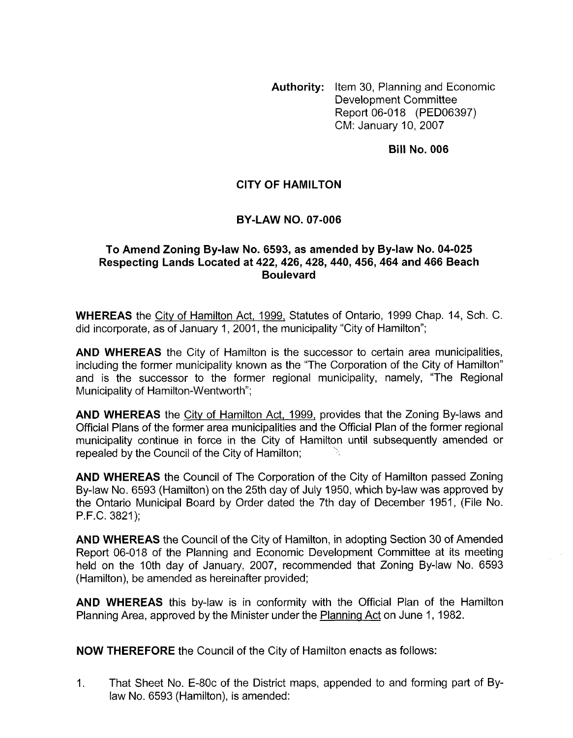**Authority:** Item 30, Planning and Economic Development Committee Report 06-018 (PED06397) CM: January 10,2007

#### **Bill No. 006**

### **CITY OF HAMILTON**

### **BY-LAW NO. 07-006**

### **To Amend Zoning By-law No. 6593, as amended by By-law No. 04-025 Respecting Lands Located at 422,426,428,440,456,464 and 466 Beach Boulevard**

**WHEREAS** the City of Hamilton Act, 1999, Statutes of Ontario, 1999 Chap. 14, Sch. C. did incorporate, as of January 1, 2001, the municipality 'City of Hamilton";

**AND WHEREAS** the City of Hamilton is the successor to certain area municipalities, including the former municipality known as the "The Corporation of the City of Hamilton" and is the successor to the former regional municipality, namely, "The Regional Municipality of Hamilton-Wentworth";

**AND WHEREAS** the City of Hamilton Act, 1999, provides that the Zoning By-laws and Official Plans of the former area municipalities and the Official Plan of the former regional municipality continue in force in the City of Hamilton until subsequently amended or repealed by the Council of the City of Hamilton;

**AND WHEREAS** the Council of The Corporation of the City of Hamilton passed Zoning By-law No. 6593 (Hamilton) on the 25th day of July 1950, which by-law was approved by the Ontario Municipal Board by Order dated the 7th day of December 1951, (File No. P.F.C. 3821);

**AND WHEREAS** the Council of the City of Hamilton, in adopting Section 30 of Amended Report 06-018 of the Planning and Economic Development Committee at its meeting held on the 10th day of January, 2007, recommended that Zoning By-law No. 6593 (Hamilton), be amended as hereinafter provided;

**AND WHEREAS** this by-law is in conformity with the Official Plan of the Hamilton Planning Area, approved by the Minister under the Planninq Act on June 1, 1982.

**NOW THEREFORE** the Council of the City of Hamilton enacts as follows:

1. That Sheet No. E-80c of the District maps, appended to and forming part of Bylaw No. 6593 (Hamilton), is amended: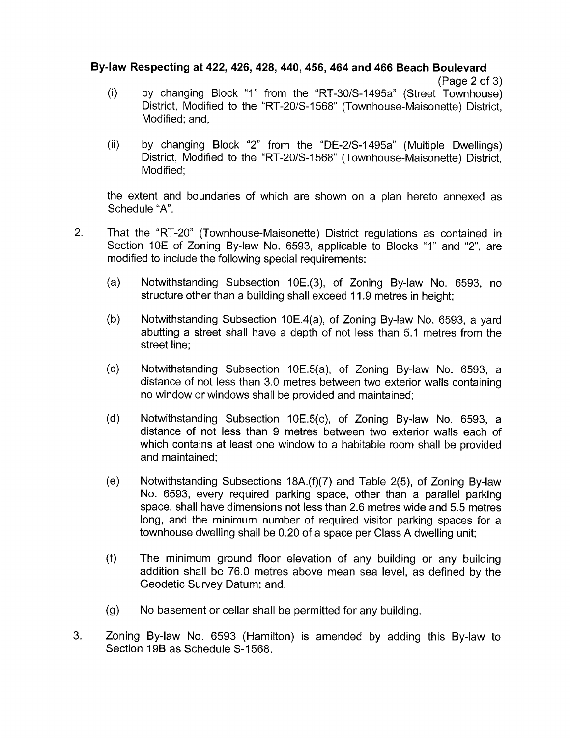# **By-law Respecting at 422,426,428,440,456,464 and 466 Beach Boulevard**

```
(Page 2 of 3)
```
- by changing Block "1" from the "RT-30/S-I 495a" (Street Townhouse) District, Modified to the "RT-20/S-1568" (Townhouse-Maisonette) District, Modified; and, (i)
- (ii) by changing Block "2" from the "DE-2/S-I495a" (Multiple Dwellings) District, Modified to the "RT-20/S-I 568" (Townhouse-Maisonette) District, Modified;

the extent and boundaries of which are shown on a plan hereto annexed as Schedule "A".

- 2. That the "RT-20" (Townhouse-Maisonette) District regulations as contained in Section 10E of Zoning By-law No. 6593, applicable to Blocks "I" and "2", are modified to include the following special requirements:
	- $(a)$ Notwithstanding Subsection 10E.(3), of Zoning By-law No. 6593, no structure other than a building shall exceed 11.9 metres in height;
	- $(b)$ Notwithstanding Subsection 10E.4(a), of Zoning By-law No. 6593, a yard abutting a street shall have a depth of not less than 5.1 metres from the street line;
	- $(c)$ Notwithstanding Subsection 10E.5(a), of Zoning By-law No. 6593, a distance of not less than 3.0 metres between two exterior walls containing no window or windows shall be provided and maintained;
	- $(d)$ Notwithstanding Subsection 10E.5(c), of Zoning By-law No. 6593, a distance of not less than 9 metres between two exterior walls each of which contains at least one window to a habitable room shall be provided and maintained:
	- $(e)$ Notwithstanding Subsections 18A.(f)(7) and Table 2(5), of Zoning By-law No. 6593, every required parking space, other than a parallel parking space, shall have dimensions not less than 2.6 metres wide and 5.5 metres long, and the minimum number of required visitor parking spaces for a townhouse dwelling shall be 0.20 of a space per Class A dwelling unit;
	- $(f)$ The minimum ground floor elevation of any building or any building addition shall be 76.0 metres above mean sea level, as defined by the Geodetic Survey Datum; and,
	- $(g)$ No basement or cellar shall be permitted for any building.
- 3. Zoning By-law No. 6593 (Hamilton) is amended by adding this By-law to Section 19B as Schedule S-1568.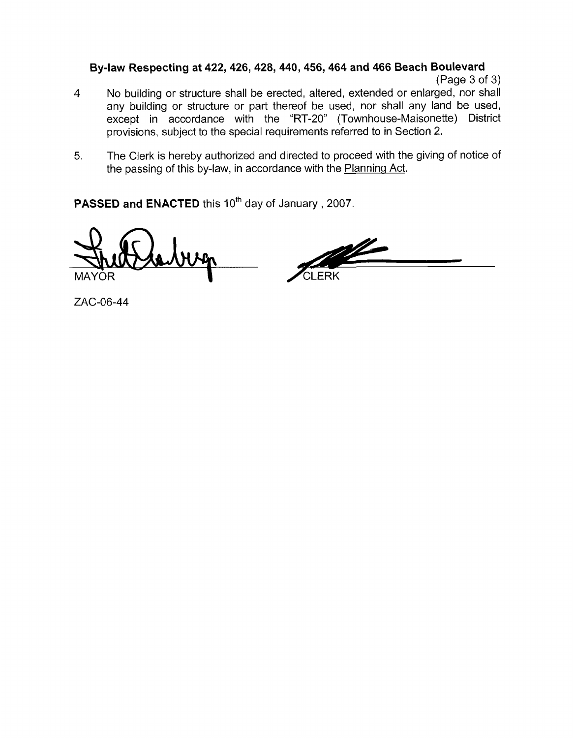# **By-law Respecting at 422,426,428,440,456,464 and 466 Beach Boulevard**

(Page 3 of 3)

- No building or structure shall be erected, altered, extended or enlarged, nor shall any building or structure or part thereof be used, nor shall any land be used, except in accordance with the "RT-20" (Townhouse-Maisonette) District provisions, subject to the special requirements referred to in Section 2. **4**
- 5. The Clerk is hereby authorized and directed to proceed with the giving of notice of the passing of this by-law, in accordance with the Planning Act.

**PASSED and ENACTED** this 10<sup>th</sup> day of January, 2007.

/CLERK MAYOR

ZAC-06-44